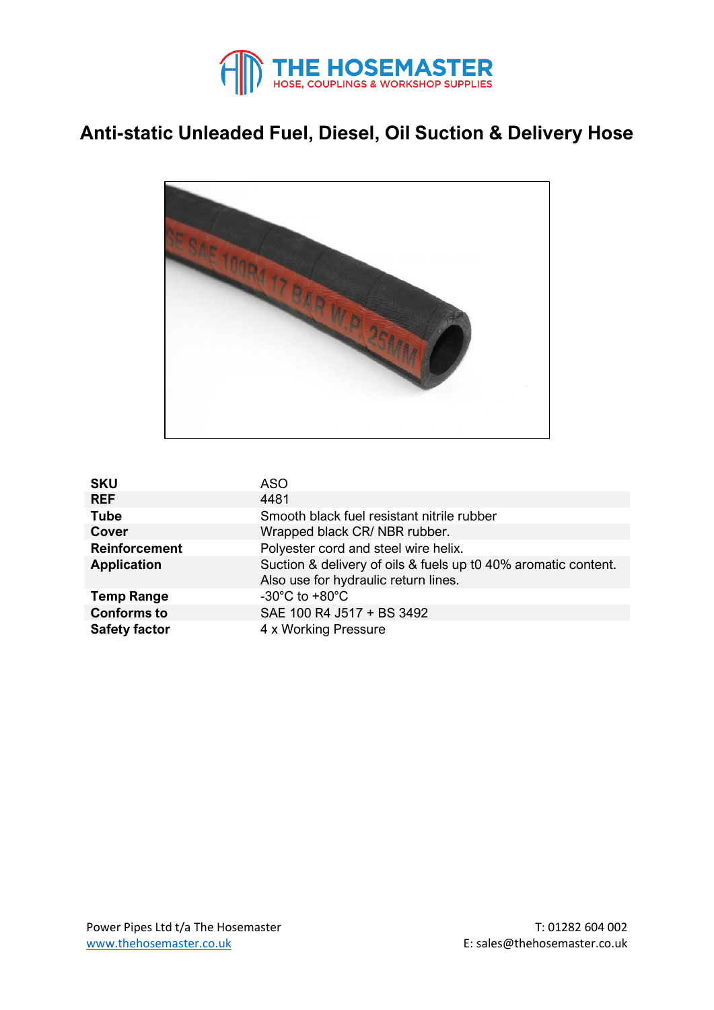

## **Anti-static Unleaded Fuel, Diesel, Oil Suction & Delivery Hose**



| <b>SKU</b>           | ASO                                                            |  |  |  |  |
|----------------------|----------------------------------------------------------------|--|--|--|--|
| <b>REF</b>           | 4481                                                           |  |  |  |  |
| <b>Tube</b>          | Smooth black fuel resistant nitrile rubber                     |  |  |  |  |
| Cover                | Wrapped black CR/NBR rubber.                                   |  |  |  |  |
| <b>Reinforcement</b> | Polyester cord and steel wire helix.                           |  |  |  |  |
| <b>Application</b>   | Suction & delivery of oils & fuels up t0 40% aromatic content. |  |  |  |  |
|                      | Also use for hydraulic return lines.                           |  |  |  |  |
| <b>Temp Range</b>    | -30 $^{\circ}$ C to +80 $^{\circ}$ C                           |  |  |  |  |
| <b>Conforms to</b>   | SAE 100 R4 J517 + BS 3492                                      |  |  |  |  |
| <b>Safety factor</b> | 4 x Working Pressure                                           |  |  |  |  |